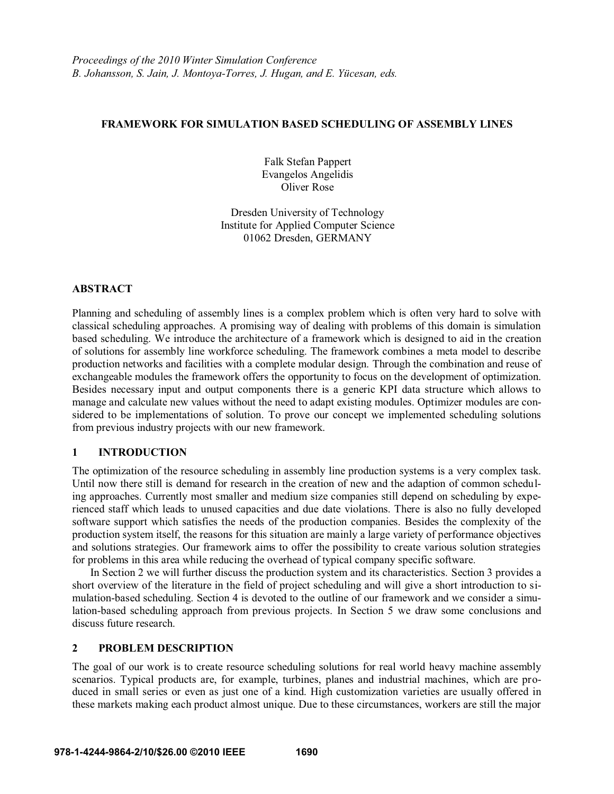### **FRAMEWORK FOR SIMULATION BASED SCHEDULING OF ASSEMBLY LINES**

Falk Stefan Pappert Evangelos Angelidis Oliver Rose

Dresden University of Technology Institute for Applied Computer Science 01062 Dresden, GERMANY

#### **ABSTRACT**

Planning and scheduling of assembly lines is a complex problem which is often very hard to solve with classical scheduling approaches. A promising way of dealing with problems of this domain is simulation based scheduling. We introduce the architecture of a framework which is designed to aid in the creation of solutions for assembly line workforce scheduling. The framework combines a meta model to describe production networks and facilities with a complete modular design. Through the combination and reuse of exchangeable modules the framework offers the opportunity to focus on the development of optimization. Besides necessary input and output components there is a generic KPI data structure which allows to manage and calculate new values without the need to adapt existing modules. Optimizer modules are considered to be implementations of solution. To prove our concept we implemented scheduling solutions from previous industry projects with our new framework.

## **1 INTRODUCTION**

The optimization of the resource scheduling in assembly line production systems is a very complex task. Until now there still is demand for research in the creation of new and the adaption of common scheduling approaches. Currently most smaller and medium size companies still depend on scheduling by experienced staff which leads to unused capacities and due date violations. There is also no fully developed software support which satisfies the needs of the production companies. Besides the complexity of the production system itself, the reasons for this situation are mainly a large variety of performance objectives and solutions strategies. Our framework aims to offer the possibility to create various solution strategies for problems in this area while reducing the overhead of typical company specific software.

In Section 2 we will further discuss the production system and its characteristics. Section 3 provides a short overview of the literature in the field of project scheduling and will give a short introduction to simulation-based scheduling. Section 4 is devoted to the outline of our framework and we consider a simulation-based scheduling approach from previous projects. In Section 5 we draw some conclusions and discuss future research.

## **2 PROBLEM DESCRIPTION**

The goal of our work is to create resource scheduling solutions for real world heavy machine assembly scenarios. Typical products are, for example, turbines, planes and industrial machines, which are produced in small series or even as just one of a kind. High customization varieties are usually offered in these markets making each product almost unique. Due to these circumstances, workers are still the major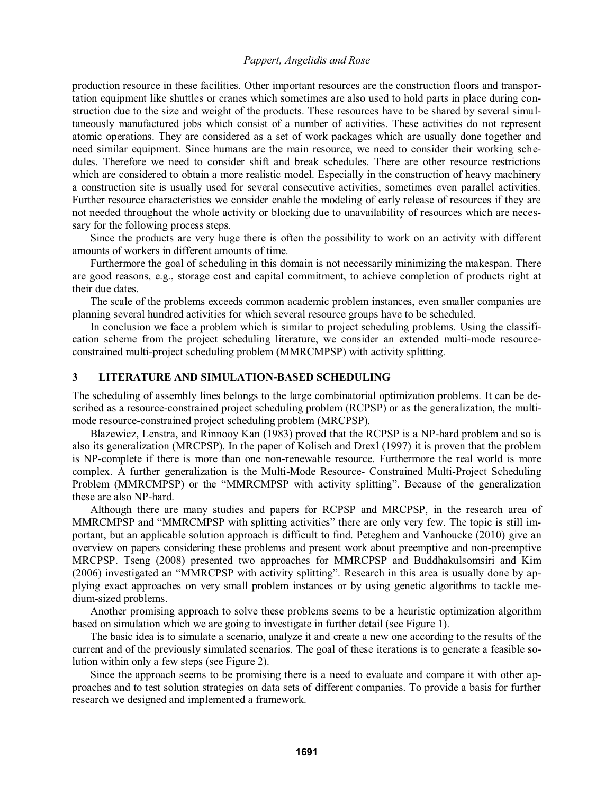production resource in these facilities. Other important resources are the construction floors and transportation equipment like shuttles or cranes which sometimes are also used to hold parts in place during construction due to the size and weight of the products. These resources have to be shared by several simultaneously manufactured jobs which consist of a number of activities. These activities do not represent atomic operations. They are considered as a set of work packages which are usually done together and need similar equipment. Since humans are the main resource, we need to consider their working schedules. Therefore we need to consider shift and break schedules. There are other resource restrictions which are considered to obtain a more realistic model. Especially in the construction of heavy machinery a construction site is usually used for several consecutive activities, sometimes even parallel activities. Further resource characteristics we consider enable the modeling of early release of resources if they are not needed throughout the whole activity or blocking due to unavailability of resources which are necessary for the following process steps.

Since the products are very huge there is often the possibility to work on an activity with different amounts of workers in different amounts of time.

Furthermore the goal of scheduling in this domain is not necessarily minimizing the makespan. There are good reasons, e.g., storage cost and capital commitment, to achieve completion of products right at their due dates.

The scale of the problems exceeds common academic problem instances, even smaller companies are planning several hundred activities for which several resource groups have to be scheduled.

In conclusion we face a problem which is similar to project scheduling problems. Using the classification scheme from the project scheduling literature, we consider an extended multi-mode resourceconstrained multi-project scheduling problem (MMRCMPSP) with activity splitting.

#### **3 LITERATURE AND SIMULATION-BASED SCHEDULING**

The scheduling of assembly lines belongs to the large combinatorial optimization problems. It can be described as a resource-constrained project scheduling problem (RCPSP) or as the generalization, the multimode resource-constrained project scheduling problem (MRCPSP).

 Blazewicz, Lenstra, and Rinnooy Kan (1983) proved that the RCPSP is a NP-hard problem and so is also its generalization (MRCPSP). In the paper of Kolisch and Drexl (1997) it is proven that the problem is NP-complete if there is more than one non-renewable resource. Furthermore the real world is more complex. A further generalization is the Multi-Mode Resource- Constrained Multi-Project Scheduling Problem (MMRCMPSP) or the "MMRCMPSP with activity splitting". Because of the generalization these are also NP-hard.

 Although there are many studies and papers for RCPSP and MRCPSP, in the research area of MMRCMPSP and "MMRCMPSP with splitting activities" there are only very few. The topic is still important, but an applicable solution approach is difficult to find. Peteghem and Vanhoucke (2010) give an overview on papers considering these problems and present work about preemptive and non-preemptive MRCPSP. Tseng (2008) presented two approaches for MMRCPSP and Buddhakulsomsiri and Kim (2006) investigated an "MMRCPSP with activity splitting". Research in this area is usually done by applying exact approaches on very small problem instances or by using genetic algorithms to tackle medium-sized problems.

 Another promising approach to solve these problems seems to be a heuristic optimization algorithm based on simulation which we are going to investigate in further detail (see Figure 1).

 The basic idea is to simulate a scenario, analyze it and create a new one according to the results of the current and of the previously simulated scenarios. The goal of these iterations is to generate a feasible solution within only a few steps (see Figure 2).

 Since the approach seems to be promising there is a need to evaluate and compare it with other approaches and to test solution strategies on data sets of different companies. To provide a basis for further research we designed and implemented a framework.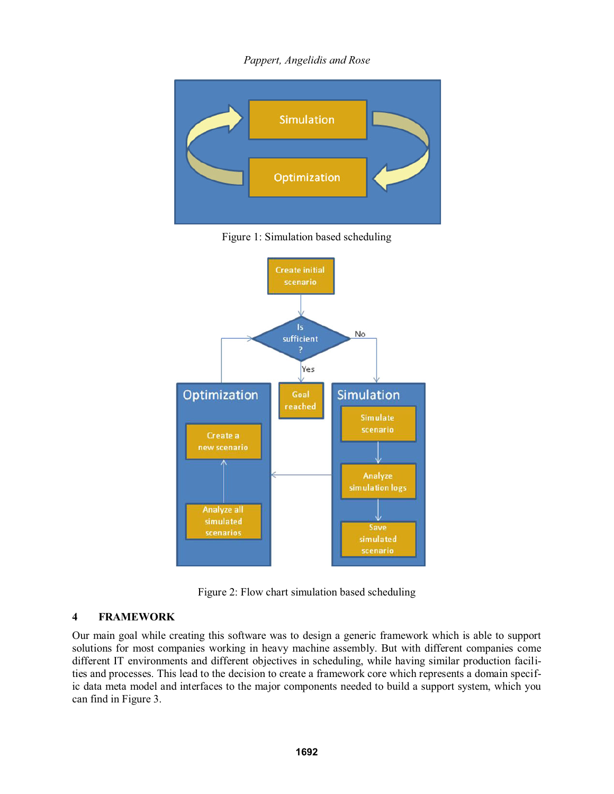

Figure 1: Simulation based scheduling



Figure 2: Flow chart simulation based scheduling

# **4 FRAMEWORK**

Our main goal while creating this software was to design a generic framework which is able to support solutions for most companies working in heavy machine assembly. But with different companies come different IT environments and different objectives in scheduling, while having similar production facilities and processes. This lead to the decision to create a framework core which represents a domain specific data meta model and interfaces to the major components needed to build a support system, which you can find in Figure 3.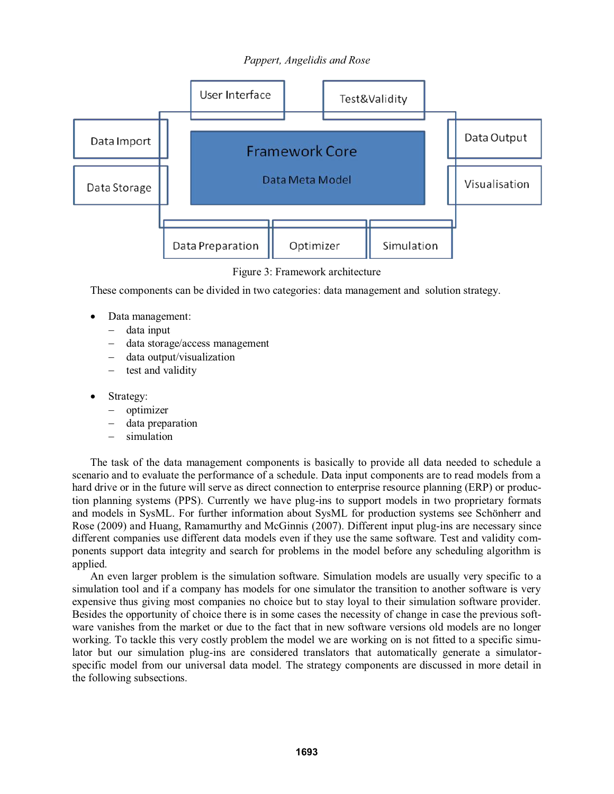

Figure 3: Framework architecture

These components can be divided in two categories: data management and solution strategy.

- $\bullet$  Data management:
	- $-$  data input
	- data storage/access management
	- data output/visualization
	- $-$  test and validity
- $\bullet$  Strategy:
	- optimizer
	- data preparation
	- simulation

The task of the data management components is basically to provide all data needed to schedule a scenario and to evaluate the performance of a schedule. Data input components are to read models from a hard drive or in the future will serve as direct connection to enterprise resource planning (ERP) or production planning systems (PPS). Currently we have plug-ins to support models in two proprietary formats and models in SysML. For further information about SysML for production systems see Schönherr and Rose (2009) and Huang, Ramamurthy and McGinnis (2007). Different input plug-ins are necessary since different companies use different data models even if they use the same software. Test and validity components support data integrity and search for problems in the model before any scheduling algorithm is applied.

An even larger problem is the simulation software. Simulation models are usually very specific to a simulation tool and if a company has models for one simulator the transition to another software is very expensive thus giving most companies no choice but to stay loyal to their simulation software provider. Besides the opportunity of choice there is in some cases the necessity of change in case the previous software vanishes from the market or due to the fact that in new software versions old models are no longer working. To tackle this very costly problem the model we are working on is not fitted to a specific simulator but our simulation plug-ins are considered translators that automatically generate a simulatorspecific model from our universal data model. The strategy components are discussed in more detail in the following subsections.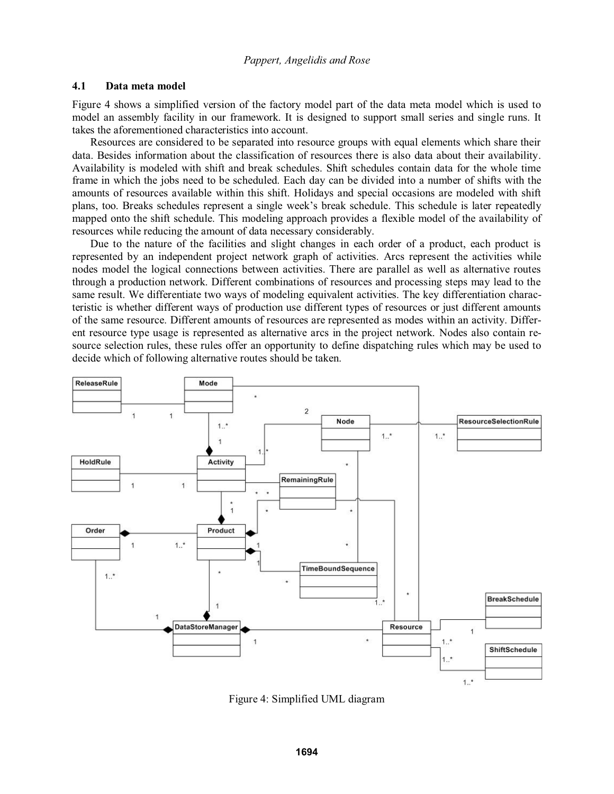#### **4.1 Data meta model**

Figure 4 shows a simplified version of the factory model part of the data meta model which is used to model an assembly facility in our framework. It is designed to support small series and single runs. It takes the aforementioned characteristics into account.

 Resources are considered to be separated into resource groups with equal elements which share their data. Besides information about the classification of resources there is also data about their availability. Availability is modeled with shift and break schedules. Shift schedules contain data for the whole time frame in which the jobs need to be scheduled. Each day can be divided into a number of shifts with the amounts of resources available within this shift. Holidays and special occasions are modeled with shift plans, too. Breaks schedules represent a single week's break schedule. This schedule is later repeatedly mapped onto the shift schedule. This modeling approach provides a flexible model of the availability of resources while reducing the amount of data necessary considerably.

Due to the nature of the facilities and slight changes in each order of a product, each product is represented by an independent project network graph of activities. Arcs represent the activities while nodes model the logical connections between activities. There are parallel as well as alternative routes through a production network. Different combinations of resources and processing steps may lead to the same result. We differentiate two ways of modeling equivalent activities. The key differentiation characteristic is whether different ways of production use different types of resources or just different amounts of the same resource. Different amounts of resources are represented as modes within an activity. Different resource type usage is represented as alternative arcs in the project network. Nodes also contain resource selection rules, these rules offer an opportunity to define dispatching rules which may be used to decide which of following alternative routes should be taken.



Figure 4: Simplified UML diagram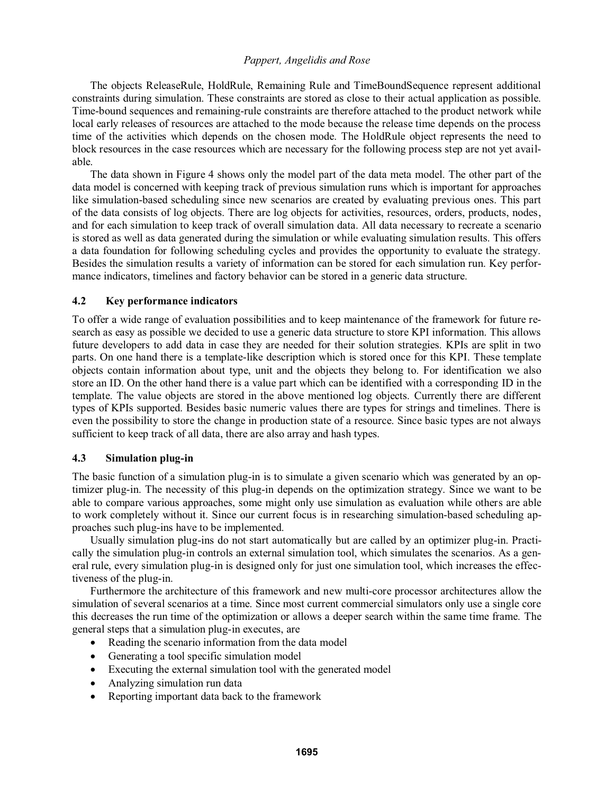The objects ReleaseRule, HoldRule, Remaining Rule and TimeBoundSequence represent additional constraints during simulation. These constraints are stored as close to their actual application as possible. Time-bound sequences and remaining-rule constraints are therefore attached to the product network while local early releases of resources are attached to the mode because the release time depends on the process time of the activities which depends on the chosen mode. The HoldRule object represents the need to block resources in the case resources which are necessary for the following process step are not yet available.

The data shown in Figure 4 shows only the model part of the data meta model. The other part of the data model is concerned with keeping track of previous simulation runs which is important for approaches like simulation-based scheduling since new scenarios are created by evaluating previous ones. This part of the data consists of log objects. There are log objects for activities, resources, orders, products, nodes, and for each simulation to keep track of overall simulation data. All data necessary to recreate a scenario is stored as well as data generated during the simulation or while evaluating simulation results. This offers a data foundation for following scheduling cycles and provides the opportunity to evaluate the strategy. Besides the simulation results a variety of information can be stored for each simulation run. Key performance indicators, timelines and factory behavior can be stored in a generic data structure.

### **4.2 Key performance indicators**

To offer a wide range of evaluation possibilities and to keep maintenance of the framework for future research as easy as possible we decided to use a generic data structure to store KPI information. This allows future developers to add data in case they are needed for their solution strategies. KPIs are split in two parts. On one hand there is a template-like description which is stored once for this KPI. These template objects contain information about type, unit and the objects they belong to. For identification we also store an ID. On the other hand there is a value part which can be identified with a corresponding ID in the template. The value objects are stored in the above mentioned log objects. Currently there are different types of KPIs supported. Besides basic numeric values there are types for strings and timelines. There is even the possibility to store the change in production state of a resource. Since basic types are not always sufficient to keep track of all data, there are also array and hash types.

#### **4.3 Simulation plug-in**

The basic function of a simulation plug-in is to simulate a given scenario which was generated by an optimizer plug-in. The necessity of this plug-in depends on the optimization strategy. Since we want to be able to compare various approaches, some might only use simulation as evaluation while others are able to work completely without it. Since our current focus is in researching simulation-based scheduling approaches such plug-ins have to be implemented.

 Usually simulation plug-ins do not start automatically but are called by an optimizer plug-in. Practically the simulation plug-in controls an external simulation tool, which simulates the scenarios. As a general rule, every simulation plug-in is designed only for just one simulation tool, which increases the effectiveness of the plug-in.

 Furthermore the architecture of this framework and new multi-core processor architectures allow the simulation of several scenarios at a time. Since most current commercial simulators only use a single core this decreases the run time of the optimization or allows a deeper search within the same time frame. The general steps that a simulation plug-in executes, are

- Reading the scenario information from the data model
- Generating a tool specific simulation model
- Executing the external simulation tool with the generated model
- Analyzing simulation run data
- Reporting important data back to the framework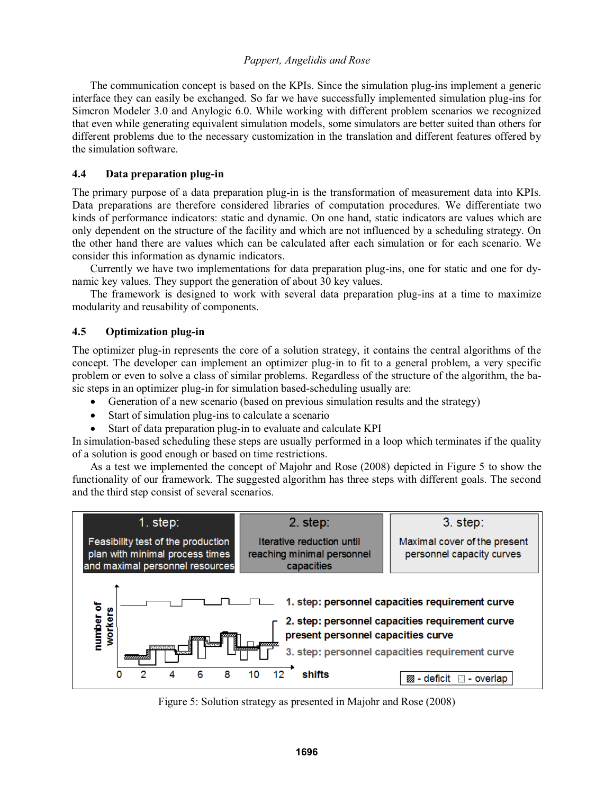The communication concept is based on the KPIs. Since the simulation plug-ins implement a generic interface they can easily be exchanged. So far we have successfully implemented simulation plug-ins for Simcron Modeler 3.0 and Anylogic 6.0. While working with different problem scenarios we recognized that even while generating equivalent simulation models, some simulators are better suited than others for different problems due to the necessary customization in the translation and different features offered by the simulation software.

# **4.4 Data preparation plug-in**

The primary purpose of a data preparation plug-in is the transformation of measurement data into KPIs. Data preparations are therefore considered libraries of computation procedures. We differentiate two kinds of performance indicators: static and dynamic. On one hand, static indicators are values which are only dependent on the structure of the facility and which are not influenced by a scheduling strategy. On the other hand there are values which can be calculated after each simulation or for each scenario. We consider this information as dynamic indicators.

 Currently we have two implementations for data preparation plug-ins, one for static and one for dynamic key values. They support the generation of about 30 key values.

 The framework is designed to work with several data preparation plug-ins at a time to maximize modularity and reusability of components.

## **4.5 Optimization plug-in**

The optimizer plug-in represents the core of a solution strategy, it contains the central algorithms of the concept. The developer can implement an optimizer plug-in to fit to a general problem, a very specific problem or even to solve a class of similar problems. Regardless of the structure of the algorithm, the basic steps in an optimizer plug-in for simulation based-scheduling usually are:

- $\bullet$ Generation of a new scenario (based on previous simulation results and the strategy)
- $\bullet$ Start of simulation plug-ins to calculate a scenario
- $\bullet$ Start of data preparation plug-in to evaluate and calculate KPI

In simulation-based scheduling these steps are usually performed in a loop which terminates if the quality of a solution is good enough or based on time restrictions.

 As a test we implemented the concept of Majohr and Rose (2008) depicted in Figure 5 to show the functionality of our framework. The suggested algorithm has three steps with different goals. The second and the third step consist of several scenarios.



Figure 5: Solution strategy as presented in Majohr and Rose (2008)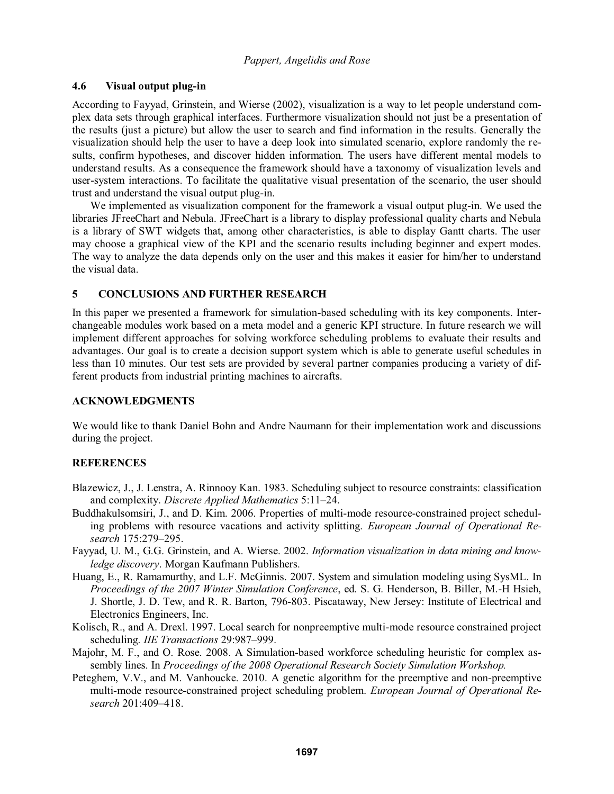### **4.6 Visual output plug-in**

According to Fayyad, Grinstein, and Wierse (2002), visualization is a way to let people understand complex data sets through graphical interfaces. Furthermore visualization should not just be a presentation of the results (just a picture) but allow the user to search and find information in the results. Generally the visualization should help the user to have a deep look into simulated scenario, explore randomly the results, confirm hypotheses, and discover hidden information. The users have different mental models to understand results. As a consequence the framework should have a taxonomy of visualization levels and user-system interactions. To facilitate the qualitative visual presentation of the scenario, the user should trust and understand the visual output plug-in.

 We implemented as visualization component for the framework a visual output plug-in. We used the libraries JFreeChart and Nebula. JFreeChart is a library to display professional quality charts and Nebula is a library of SWT widgets that, among other characteristics, is able to display Gantt charts. The user may choose a graphical view of the KPI and the scenario results including beginner and expert modes. The way to analyze the data depends only on the user and this makes it easier for him/her to understand the visual data.

## **5 CONCLUSIONS AND FURTHER RESEARCH**

In this paper we presented a framework for simulation-based scheduling with its key components. Interchangeable modules work based on a meta model and a generic KPI structure. In future research we will implement different approaches for solving workforce scheduling problems to evaluate their results and advantages. Our goal is to create a decision support system which is able to generate useful schedules in less than 10 minutes. Our test sets are provided by several partner companies producing a variety of different products from industrial printing machines to aircrafts.

## **ACKNOWLEDGMENTS**

We would like to thank Daniel Bohn and Andre Naumann for their implementation work and discussions during the project.

# **REFERENCES**

- Blazewicz, J., J. Lenstra, A. Rinnooy Kan. 1983. Scheduling subject to resource constraints: classification and complexity. *Discrete Applied Mathematics* 5:11–24.
- Buddhakulsomsiri, J., and D. Kim. 2006. Properties of multi-mode resource-constrained project scheduling problems with resource vacations and activity splitting. *European Journal of Operational Research* 175:279-295.
- Fayyad, U. M., G.G. Grinstein, and A. Wierse. 2002. *Information visualization in data mining and knowledge discovery*. Morgan Kaufmann Publishers.
- Huang, E., R. Ramamurthy, and L.F. McGinnis. 2007. System and simulation modeling using SysML. In *Proceedings of the 2007 Winter Simulation Conference*, ed. S. G. Henderson, B. Biller, M.-H Hsieh, J. Shortle, J. D. Tew, and R. R. Barton, 796-803. Piscataway, New Jersey: Institute of Electrical and Electronics Engineers, Inc.
- Kolisch, R., and A. Drexl. 1997. Local search for nonpreemptive multi-mode resource constrained project scheduling. *IIE Transactions* 29:987-999.
- Majohr, M. F., and O. Rose. 2008. A Simulation-based workforce scheduling heuristic for complex assembly lines. In *Proceedings of the 2008 Operational Research Society Simulation Workshop.*
- Peteghem, V.V., and M. Vanhoucke. 2010. A genetic algorithm for the preemptive and non-preemptive multi-mode resource-constrained project scheduling problem. *European Journal of Operational Research* 201:409–418.